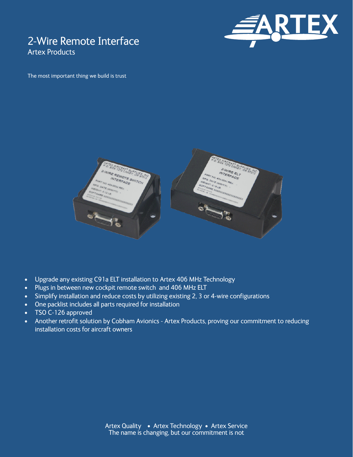# 2-Wire Remote Interface Artex Products



The most important thing we build is trust



- Upgrade any existing C91a ELT installation to Artex 406 MHz Technology
- Plugs in between new cockpit remote switch and 406 MHz ELT
- Simplify installation and reduce costs by utilizing existing 2, 3 or 4-wire configurations
- One packlist includes all parts required for installation
- TSO C-126 approved
- Another retrofit solution by Cobham Avionics Artex Products, proving our commitment to reducing installation costs for aircraft owners